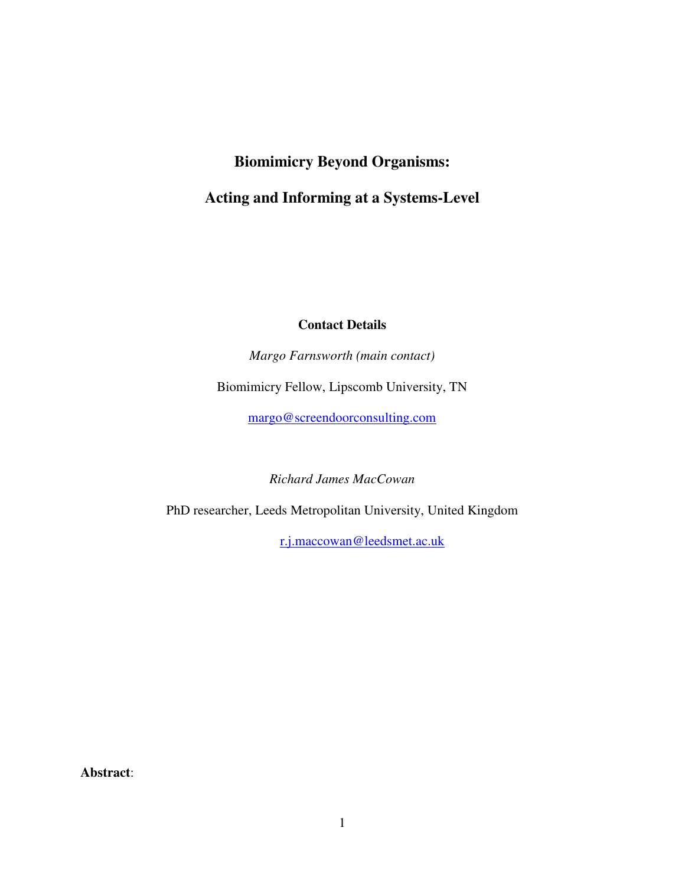# **Biomimicry Beyond Organisms: Acting and Informing at a Systems-Level**

# **Contact Details**

*Margo Farnsworth (main contact)* 

Biomimicry Fellow, Lipscomb University, TN

margo@screendoorconsulting.com

*Richard James MacCowan* 

PhD researcher, Leeds Metropolitan University, United Kingdom

r.j.maccowan@leedsmet.ac.uk

**Abstract**: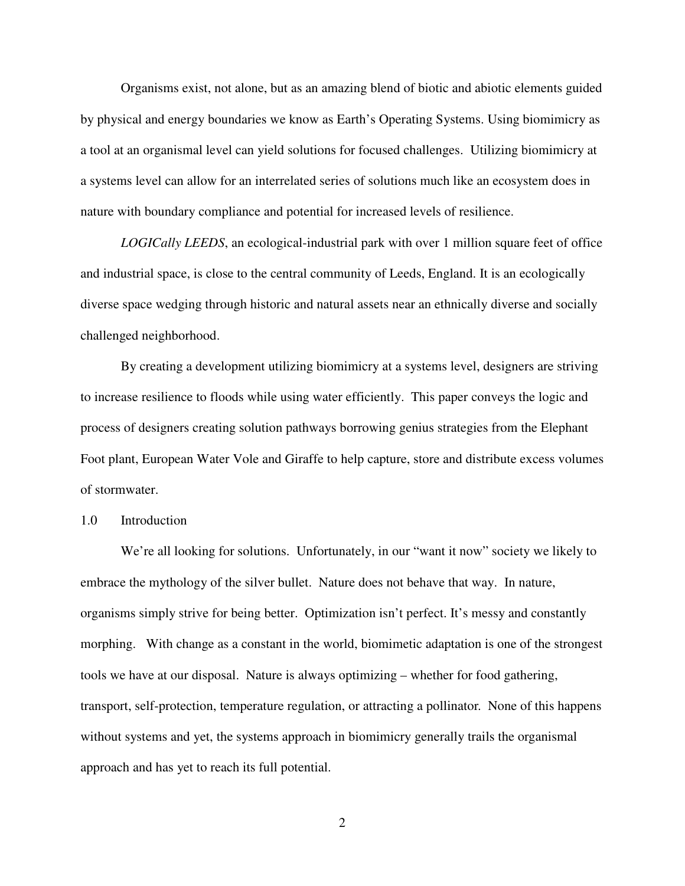Organisms exist, not alone, but as an amazing blend of biotic and abiotic elements guided by physical and energy boundaries we know as Earth's Operating Systems. Using biomimicry as a tool at an organismal level can yield solutions for focused challenges. Utilizing biomimicry at a systems level can allow for an interrelated series of solutions much like an ecosystem does in nature with boundary compliance and potential for increased levels of resilience.

*LOGICally LEEDS*, an ecological-industrial park with over 1 million square feet of office and industrial space, is close to the central community of Leeds, England. It is an ecologically diverse space wedging through historic and natural assets near an ethnically diverse and socially challenged neighborhood.

By creating a development utilizing biomimicry at a systems level, designers are striving to increase resilience to floods while using water efficiently. This paper conveys the logic and process of designers creating solution pathways borrowing genius strategies from the Elephant Foot plant, European Water Vole and Giraffe to help capture, store and distribute excess volumes of stormwater.

## 1.0 Introduction

We're all looking for solutions. Unfortunately, in our "want it now" society we likely to embrace the mythology of the silver bullet. Nature does not behave that way. In nature, organisms simply strive for being better. Optimization isn't perfect. It's messy and constantly morphing. With change as a constant in the world, biomimetic adaptation is one of the strongest tools we have at our disposal. Nature is always optimizing – whether for food gathering, transport, self-protection, temperature regulation, or attracting a pollinator. None of this happens without systems and yet, the systems approach in biomimicry generally trails the organismal approach and has yet to reach its full potential.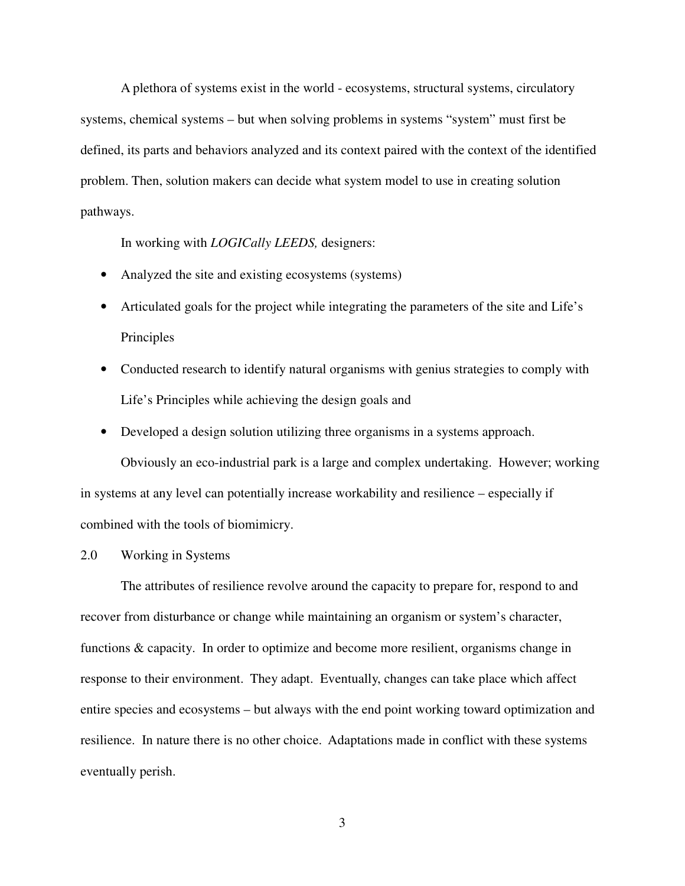A plethora of systems exist in the world - ecosystems, structural systems, circulatory systems, chemical systems – but when solving problems in systems "system" must first be defined, its parts and behaviors analyzed and its context paired with the context of the identified problem. Then, solution makers can decide what system model to use in creating solution pathways.

In working with *LOGICally LEEDS,* designers:

- Analyzed the site and existing ecosystems (systems)
- Articulated goals for the project while integrating the parameters of the site and Life's Principles
- Conducted research to identify natural organisms with genius strategies to comply with Life's Principles while achieving the design goals and
- Developed a design solution utilizing three organisms in a systems approach.

Obviously an eco-industrial park is a large and complex undertaking. However; working in systems at any level can potentially increase workability and resilience – especially if combined with the tools of biomimicry.

2.0 Working in Systems

The attributes of resilience revolve around the capacity to prepare for, respond to and recover from disturbance or change while maintaining an organism or system's character, functions & capacity. In order to optimize and become more resilient, organisms change in response to their environment. They adapt. Eventually, changes can take place which affect entire species and ecosystems – but always with the end point working toward optimization and resilience. In nature there is no other choice. Adaptations made in conflict with these systems eventually perish.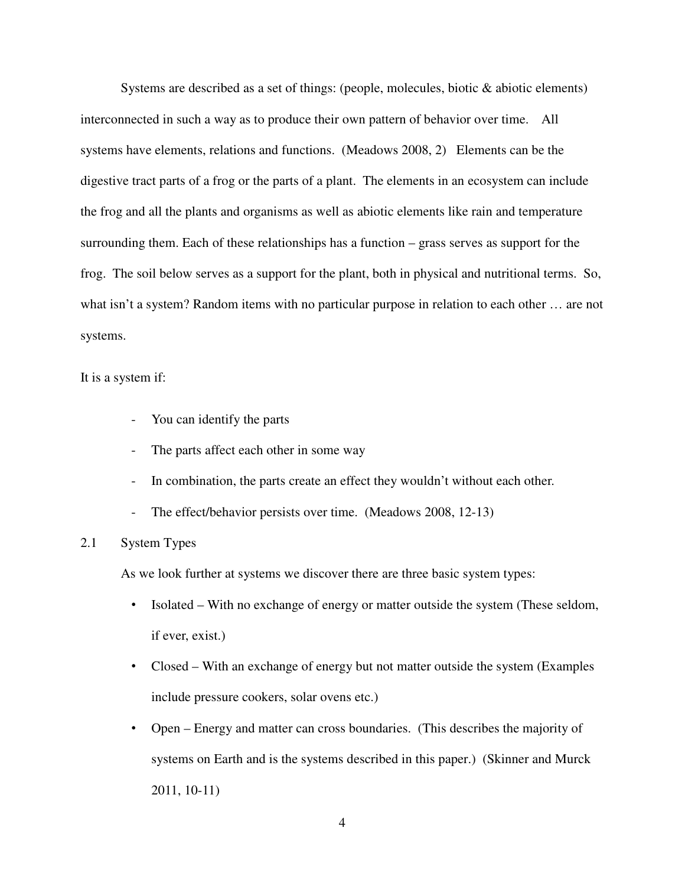Systems are described as a set of things: (people, molecules, biotic  $\&$  abiotic elements) interconnected in such a way as to produce their own pattern of behavior over time. All systems have elements, relations and functions. (Meadows 2008, 2) Elements can be the digestive tract parts of a frog or the parts of a plant. The elements in an ecosystem can include the frog and all the plants and organisms as well as abiotic elements like rain and temperature surrounding them. Each of these relationships has a function – grass serves as support for the frog. The soil below serves as a support for the plant, both in physical and nutritional terms. So, what isn't a system? Random items with no particular purpose in relation to each other … are not systems.

## It is a system if:

- You can identify the parts
- The parts affect each other in some way
- In combination, the parts create an effect they wouldn't without each other.
- The effect/behavior persists over time. (Meadows 2008, 12-13)

# 2.1 System Types

As we look further at systems we discover there are three basic system types:

- Isolated With no exchange of energy or matter outside the system (These seldom, if ever, exist.)
- Closed With an exchange of energy but not matter outside the system (Examples include pressure cookers, solar ovens etc.)
- Open Energy and matter can cross boundaries. (This describes the majority of systems on Earth and is the systems described in this paper.) (Skinner and Murck 2011, 10-11)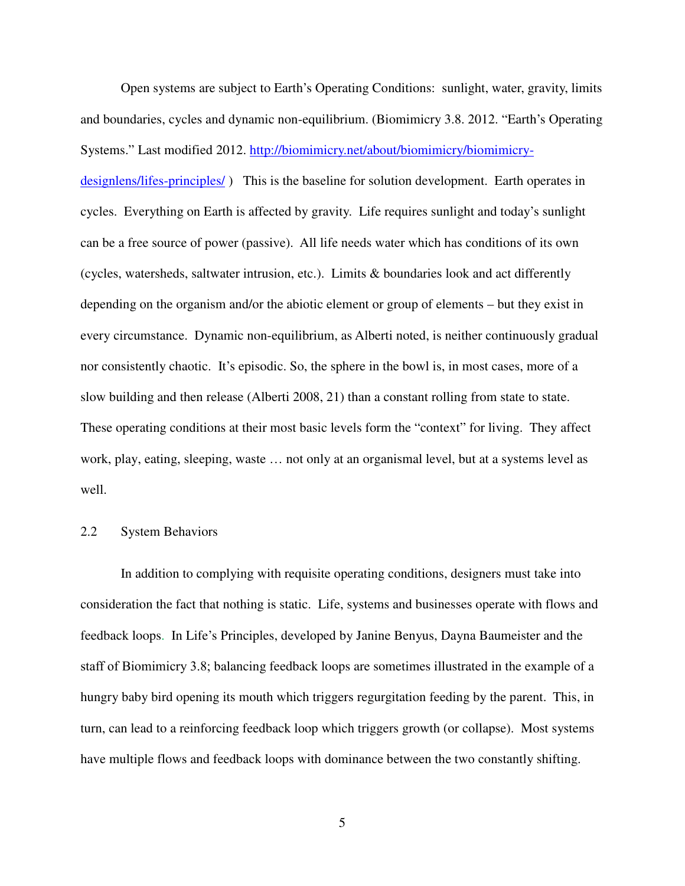Open systems are subject to Earth's Operating Conditions: sunlight, water, gravity, limits and boundaries, cycles and dynamic non-equilibrium. (Biomimicry 3.8. 2012. "Earth's Operating Systems." Last modified 2012. http://biomimicry.net/about/biomimicry/biomimicry-

designlens/lifes-principles/ ) This is the baseline for solution development. Earth operates in cycles. Everything on Earth is affected by gravity. Life requires sunlight and today's sunlight can be a free source of power (passive). All life needs water which has conditions of its own (cycles, watersheds, saltwater intrusion, etc.). Limits & boundaries look and act differently depending on the organism and/or the abiotic element or group of elements – but they exist in every circumstance. Dynamic non-equilibrium, as Alberti noted, is neither continuously gradual nor consistently chaotic. It's episodic. So, the sphere in the bowl is, in most cases, more of a slow building and then release (Alberti 2008, 21) than a constant rolling from state to state. These operating conditions at their most basic levels form the "context" for living. They affect work, play, eating, sleeping, waste … not only at an organismal level, but at a systems level as well.

# 2.2 System Behaviors

In addition to complying with requisite operating conditions, designers must take into consideration the fact that nothing is static. Life, systems and businesses operate with flows and feedback loops. In Life's Principles, developed by Janine Benyus, Dayna Baumeister and the staff of Biomimicry 3.8; balancing feedback loops are sometimes illustrated in the example of a hungry baby bird opening its mouth which triggers regurgitation feeding by the parent. This, in turn, can lead to a reinforcing feedback loop which triggers growth (or collapse). Most systems have multiple flows and feedback loops with dominance between the two constantly shifting.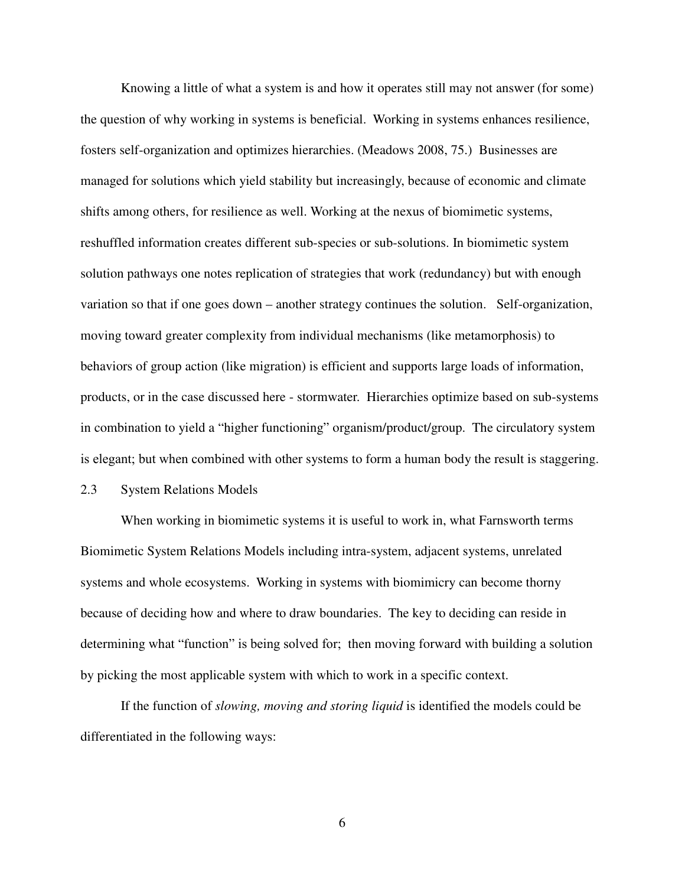Knowing a little of what a system is and how it operates still may not answer (for some) the question of why working in systems is beneficial. Working in systems enhances resilience, fosters self-organization and optimizes hierarchies. (Meadows 2008, 75.) Businesses are managed for solutions which yield stability but increasingly, because of economic and climate shifts among others, for resilience as well. Working at the nexus of biomimetic systems, reshuffled information creates different sub-species or sub-solutions. In biomimetic system solution pathways one notes replication of strategies that work (redundancy) but with enough variation so that if one goes down – another strategy continues the solution. Self-organization, moving toward greater complexity from individual mechanisms (like metamorphosis) to behaviors of group action (like migration) is efficient and supports large loads of information, products, or in the case discussed here - stormwater. Hierarchies optimize based on sub-systems in combination to yield a "higher functioning" organism/product/group. The circulatory system is elegant; but when combined with other systems to form a human body the result is staggering.

# 2.3 System Relations Models

 When working in biomimetic systems it is useful to work in, what Farnsworth terms Biomimetic System Relations Models including intra-system, adjacent systems, unrelated systems and whole ecosystems. Working in systems with biomimicry can become thorny because of deciding how and where to draw boundaries. The key to deciding can reside in determining what "function" is being solved for; then moving forward with building a solution by picking the most applicable system with which to work in a specific context.

If the function of *slowing, moving and storing liquid* is identified the models could be differentiated in the following ways: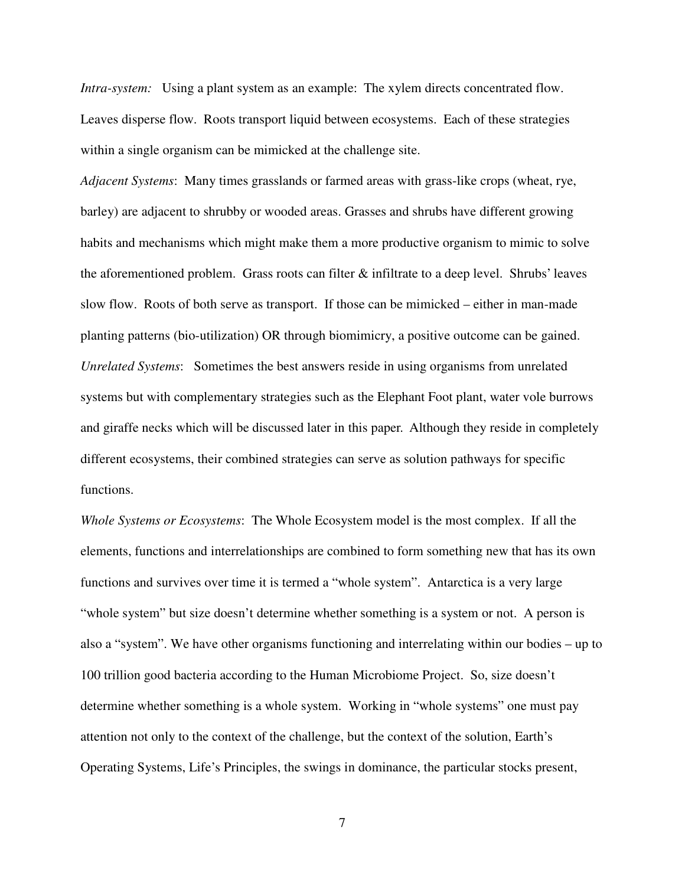*Intra-system:* Using a plant system as an example: The xylem directs concentrated flow. Leaves disperse flow. Roots transport liquid between ecosystems. Each of these strategies within a single organism can be mimicked at the challenge site.

*Adjacent Systems*: Many times grasslands or farmed areas with grass-like crops (wheat, rye, barley) are adjacent to shrubby or wooded areas. Grasses and shrubs have different growing habits and mechanisms which might make them a more productive organism to mimic to solve the aforementioned problem. Grass roots can filter & infiltrate to a deep level. Shrubs' leaves slow flow. Roots of both serve as transport. If those can be mimicked – either in man-made planting patterns (bio-utilization) OR through biomimicry, a positive outcome can be gained. *Unrelated Systems*: Sometimes the best answers reside in using organisms from unrelated systems but with complementary strategies such as the Elephant Foot plant, water vole burrows and giraffe necks which will be discussed later in this paper. Although they reside in completely different ecosystems, their combined strategies can serve as solution pathways for specific functions.

*Whole Systems or Ecosystems*: The Whole Ecosystem model is the most complex. If all the elements, functions and interrelationships are combined to form something new that has its own functions and survives over time it is termed a "whole system". Antarctica is a very large "whole system" but size doesn't determine whether something is a system or not. A person is also a "system". We have other organisms functioning and interrelating within our bodies – up to 100 trillion good bacteria according to the Human Microbiome Project. So, size doesn't determine whether something is a whole system. Working in "whole systems" one must pay attention not only to the context of the challenge, but the context of the solution, Earth's Operating Systems, Life's Principles, the swings in dominance, the particular stocks present,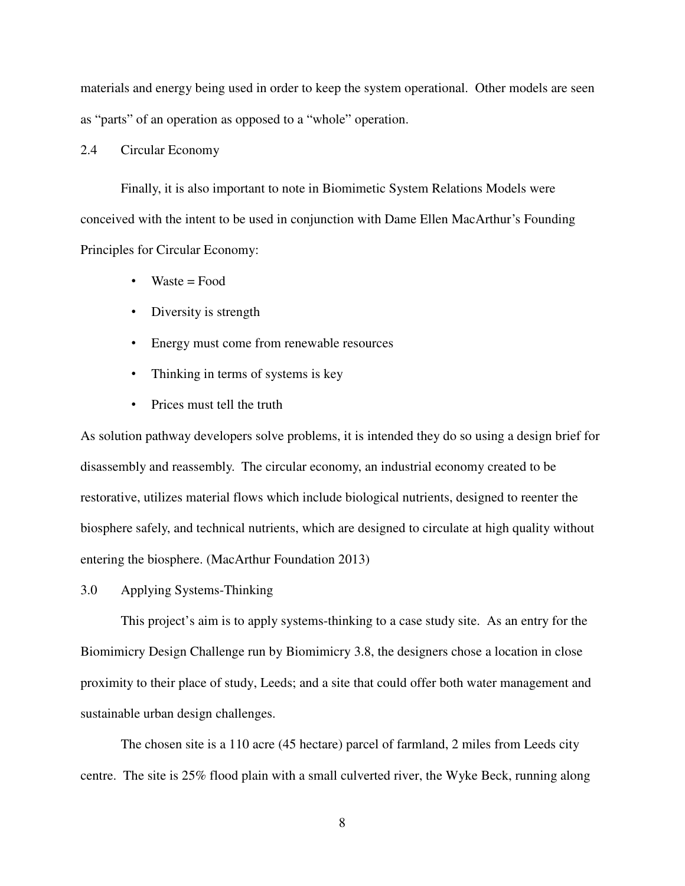materials and energy being used in order to keep the system operational. Other models are seen as "parts" of an operation as opposed to a "whole" operation.

## 2.4 Circular Economy

Finally, it is also important to note in Biomimetic System Relations Models were conceived with the intent to be used in conjunction with Dame Ellen MacArthur's Founding Principles for Circular Economy:

- $Waste = Food$
- Diversity is strength
- Energy must come from renewable resources
- Thinking in terms of systems is key
- Prices must tell the truth

As solution pathway developers solve problems, it is intended they do so using a design brief for disassembly and reassembly. The circular economy, an industrial economy created to be restorative, utilizes material flows which include biological nutrients, designed to reenter the biosphere safely, and technical nutrients, which are designed to circulate at high quality without entering the biosphere. (MacArthur Foundation 2013)

3.0 Applying Systems-Thinking

This project's aim is to apply systems-thinking to a case study site. As an entry for the Biomimicry Design Challenge run by Biomimicry 3.8, the designers chose a location in close proximity to their place of study, Leeds; and a site that could offer both water management and sustainable urban design challenges.

The chosen site is a 110 acre (45 hectare) parcel of farmland, 2 miles from Leeds city centre. The site is 25% flood plain with a small culverted river, the Wyke Beck, running along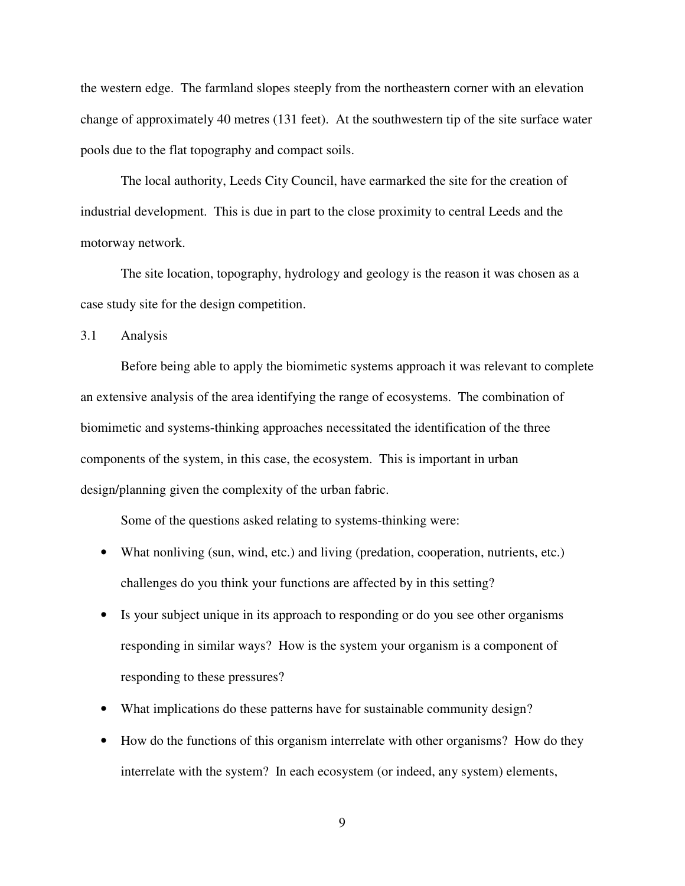the western edge. The farmland slopes steeply from the northeastern corner with an elevation change of approximately 40 metres (131 feet). At the southwestern tip of the site surface water pools due to the flat topography and compact soils.

The local authority, Leeds City Council, have earmarked the site for the creation of industrial development. This is due in part to the close proximity to central Leeds and the motorway network.

The site location, topography, hydrology and geology is the reason it was chosen as a case study site for the design competition.

3.1 Analysis

Before being able to apply the biomimetic systems approach it was relevant to complete an extensive analysis of the area identifying the range of ecosystems. The combination of biomimetic and systems-thinking approaches necessitated the identification of the three components of the system, in this case, the ecosystem. This is important in urban design/planning given the complexity of the urban fabric.

Some of the questions asked relating to systems-thinking were:

- What nonliving (sun, wind, etc.) and living (predation, cooperation, nutrients, etc.) challenges do you think your functions are affected by in this setting?
- Is your subject unique in its approach to responding or do you see other organisms responding in similar ways? How is the system your organism is a component of responding to these pressures?
- What implications do these patterns have for sustainable community design?
- How do the functions of this organism interrelate with other organisms? How do they interrelate with the system? In each ecosystem (or indeed, any system) elements,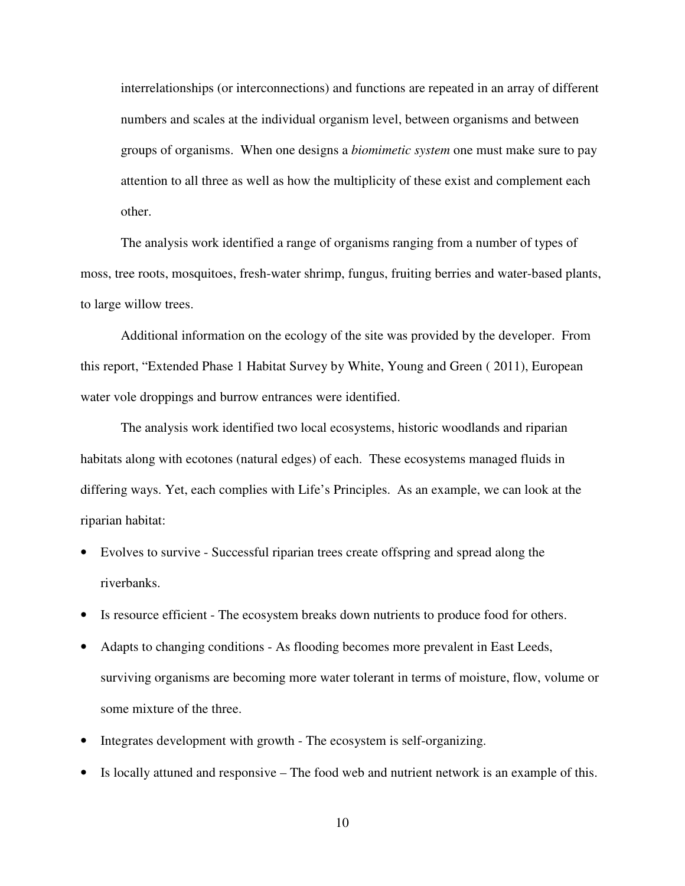interrelationships (or interconnections) and functions are repeated in an array of different numbers and scales at the individual organism level, between organisms and between groups of organisms. When one designs a *biomimetic system* one must make sure to pay attention to all three as well as how the multiplicity of these exist and complement each other.

The analysis work identified a range of organisms ranging from a number of types of moss, tree roots, mosquitoes, fresh-water shrimp, fungus, fruiting berries and water-based plants, to large willow trees.

Additional information on the ecology of the site was provided by the developer. From this report, "Extended Phase 1 Habitat Survey by White, Young and Green ( 2011), European water vole droppings and burrow entrances were identified.

The analysis work identified two local ecosystems, historic woodlands and riparian habitats along with ecotones (natural edges) of each. These ecosystems managed fluids in differing ways. Yet, each complies with Life's Principles. As an example, we can look at the riparian habitat:

- Evolves to survive Successful riparian trees create offspring and spread along the riverbanks.
- Is resource efficient The ecosystem breaks down nutrients to produce food for others.
- Adapts to changing conditions As flooding becomes more prevalent in East Leeds, surviving organisms are becoming more water tolerant in terms of moisture, flow, volume or some mixture of the three.
- Integrates development with growth The ecosystem is self-organizing.
- Is locally attuned and responsive The food web and nutrient network is an example of this.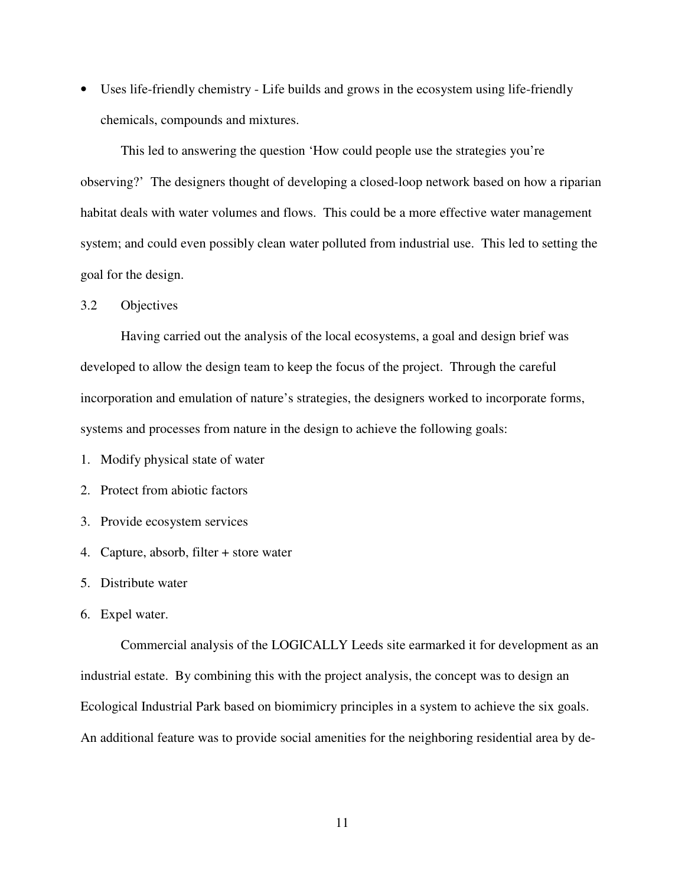• Uses life-friendly chemistry - Life builds and grows in the ecosystem using life-friendly chemicals, compounds and mixtures.

This led to answering the question 'How could people use the strategies you're observing?' The designers thought of developing a closed-loop network based on how a riparian habitat deals with water volumes and flows. This could be a more effective water management system; and could even possibly clean water polluted from industrial use. This led to setting the goal for the design.

#### 3.2 Objectives

Having carried out the analysis of the local ecosystems, a goal and design brief was developed to allow the design team to keep the focus of the project. Through the careful incorporation and emulation of nature's strategies, the designers worked to incorporate forms, systems and processes from nature in the design to achieve the following goals:

1. Modify physical state of water

2. Protect from abiotic factors

3. Provide ecosystem services

4. Capture, absorb, filter + store water

5. Distribute water

6. Expel water.

Commercial analysis of the LOGICALLY Leeds site earmarked it for development as an industrial estate. By combining this with the project analysis, the concept was to design an Ecological Industrial Park based on biomimicry principles in a system to achieve the six goals. An additional feature was to provide social amenities for the neighboring residential area by de-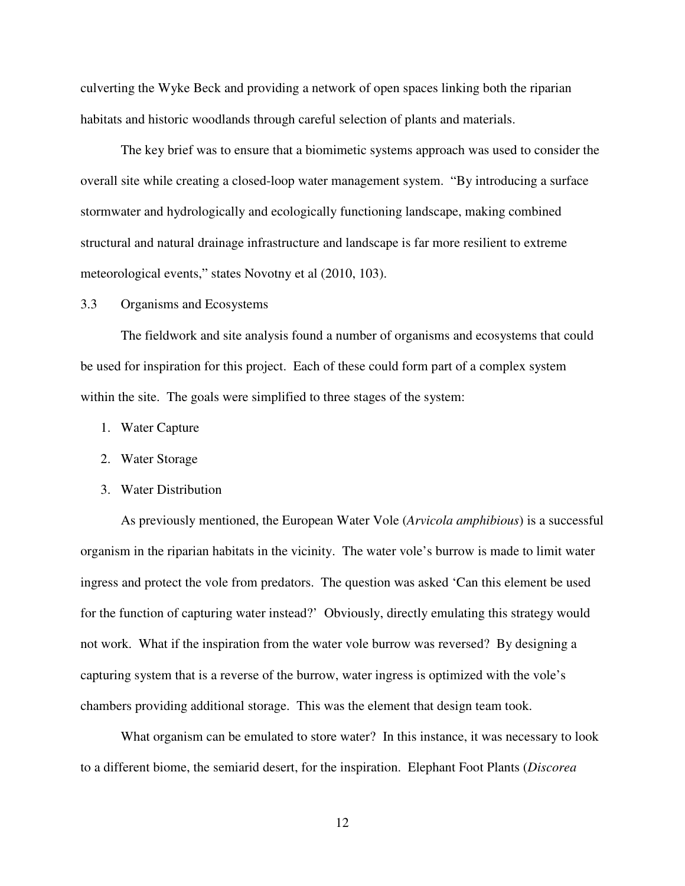culverting the Wyke Beck and providing a network of open spaces linking both the riparian habitats and historic woodlands through careful selection of plants and materials.

The key brief was to ensure that a biomimetic systems approach was used to consider the overall site while creating a closed-loop water management system. "By introducing a surface stormwater and hydrologically and ecologically functioning landscape, making combined structural and natural drainage infrastructure and landscape is far more resilient to extreme meteorological events," states Novotny et al (2010, 103).

#### 3.3 Organisms and Ecosystems

The fieldwork and site analysis found a number of organisms and ecosystems that could be used for inspiration for this project. Each of these could form part of a complex system within the site. The goals were simplified to three stages of the system:

- 1. Water Capture
- 2. Water Storage
- 3. Water Distribution

As previously mentioned, the European Water Vole (*Arvicola amphibious*) is a successful organism in the riparian habitats in the vicinity. The water vole's burrow is made to limit water ingress and protect the vole from predators. The question was asked 'Can this element be used for the function of capturing water instead?' Obviously, directly emulating this strategy would not work. What if the inspiration from the water vole burrow was reversed? By designing a capturing system that is a reverse of the burrow, water ingress is optimized with the vole's chambers providing additional storage. This was the element that design team took.

What organism can be emulated to store water? In this instance, it was necessary to look to a different biome, the semiarid desert, for the inspiration. Elephant Foot Plants (*Discorea*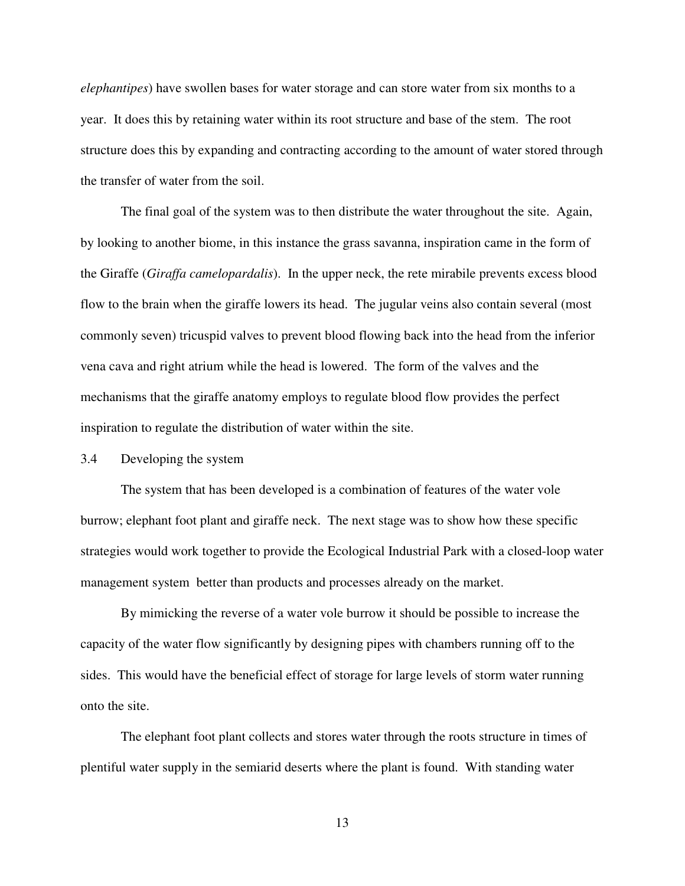*elephantipes*) have swollen bases for water storage and can store water from six months to a year. It does this by retaining water within its root structure and base of the stem. The root structure does this by expanding and contracting according to the amount of water stored through the transfer of water from the soil.

The final goal of the system was to then distribute the water throughout the site. Again, by looking to another biome, in this instance the grass savanna, inspiration came in the form of the Giraffe (*Giraffa camelopardalis*). In the upper neck, the rete mirabile prevents excess blood flow to the brain when the giraffe lowers its head. The jugular veins also contain several (most commonly seven) tricuspid valves to prevent blood flowing back into the head from the inferior vena cava and right atrium while the head is lowered. The form of the valves and the mechanisms that the giraffe anatomy employs to regulate blood flow provides the perfect inspiration to regulate the distribution of water within the site.

3.4 Developing the system

The system that has been developed is a combination of features of the water vole burrow; elephant foot plant and giraffe neck. The next stage was to show how these specific strategies would work together to provide the Ecological Industrial Park with a closed-loop water management system better than products and processes already on the market.

By mimicking the reverse of a water vole burrow it should be possible to increase the capacity of the water flow significantly by designing pipes with chambers running off to the sides. This would have the beneficial effect of storage for large levels of storm water running onto the site.

The elephant foot plant collects and stores water through the roots structure in times of plentiful water supply in the semiarid deserts where the plant is found. With standing water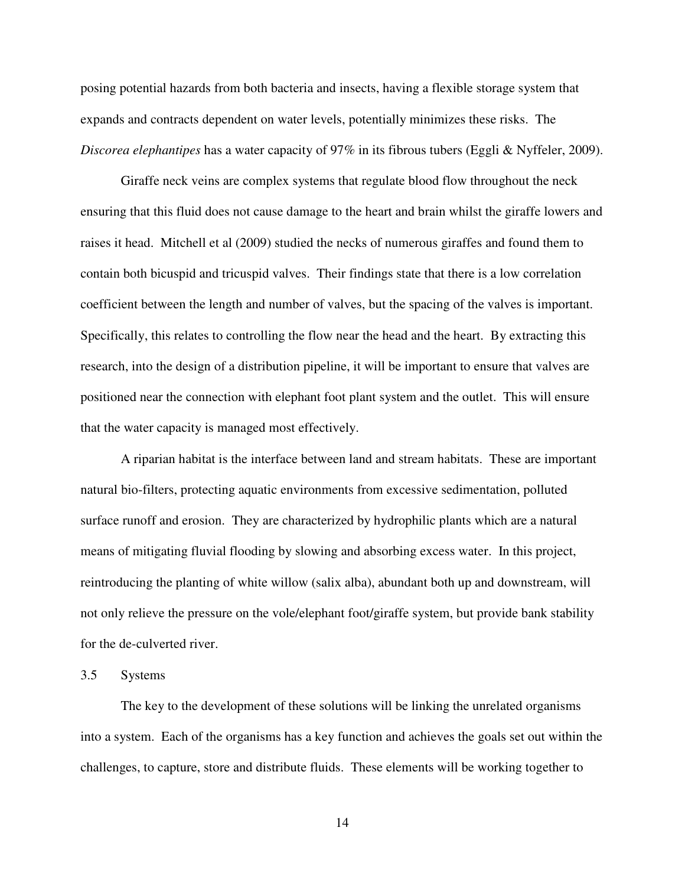posing potential hazards from both bacteria and insects, having a flexible storage system that expands and contracts dependent on water levels, potentially minimizes these risks. The *Discorea elephantipes* has a water capacity of 97% in its fibrous tubers (Eggli & Nyffeler, 2009).

Giraffe neck veins are complex systems that regulate blood flow throughout the neck ensuring that this fluid does not cause damage to the heart and brain whilst the giraffe lowers and raises it head. Mitchell et al (2009) studied the necks of numerous giraffes and found them to contain both bicuspid and tricuspid valves. Their findings state that there is a low correlation coefficient between the length and number of valves, but the spacing of the valves is important. Specifically, this relates to controlling the flow near the head and the heart. By extracting this research, into the design of a distribution pipeline, it will be important to ensure that valves are positioned near the connection with elephant foot plant system and the outlet. This will ensure that the water capacity is managed most effectively.

A riparian habitat is the interface between land and stream habitats. These are important natural bio-filters, protecting aquatic environments from excessive sedimentation, polluted surface runoff and erosion. They are characterized by hydrophilic plants which are a natural means of mitigating fluvial flooding by slowing and absorbing excess water. In this project, reintroducing the planting of white willow (salix alba), abundant both up and downstream, will not only relieve the pressure on the vole/elephant foot/giraffe system, but provide bank stability for the de-culverted river.

#### 3.5 Systems

The key to the development of these solutions will be linking the unrelated organisms into a system. Each of the organisms has a key function and achieves the goals set out within the challenges, to capture, store and distribute fluids. These elements will be working together to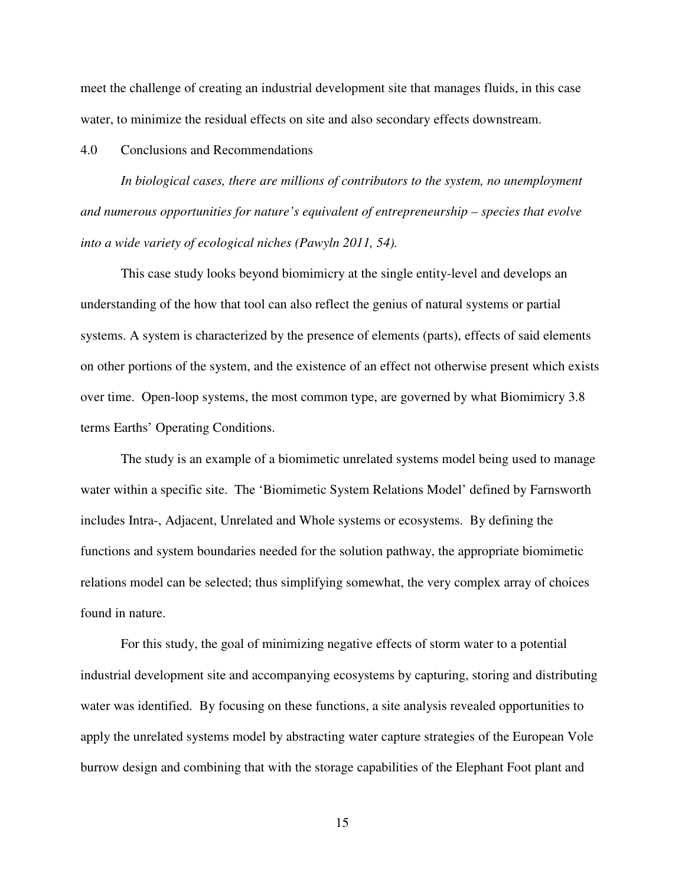meet the challenge of creating an industrial development site that manages fluids, in this case water, to minimize the residual effects on site and also secondary effects downstream.

# 4.0 Conclusions and Recommendations

*In biological cases, there are millions of contributors to the system, no unemployment and numerous opportunities for nature's equivalent of entrepreneurship – species that evolve into a wide variety of ecological niches (Pawyln 2011, 54).* 

This case study looks beyond biomimicry at the single entity-level and develops an understanding of the how that tool can also reflect the genius of natural systems or partial systems. A system is characterized by the presence of elements (parts), effects of said elements on other portions of the system, and the existence of an effect not otherwise present which exists over time. Open-loop systems, the most common type, are governed by what Biomimicry 3.8 terms Earths' Operating Conditions.

The study is an example of a biomimetic unrelated systems model being used to manage water within a specific site. The 'Biomimetic System Relations Model' defined by Farnsworth includes Intra-, Adjacent, Unrelated and Whole systems or ecosystems. By defining the functions and system boundaries needed for the solution pathway, the appropriate biomimetic relations model can be selected; thus simplifying somewhat, the very complex array of choices found in nature.

For this study, the goal of minimizing negative effects of storm water to a potential industrial development site and accompanying ecosystems by capturing, storing and distributing water was identified. By focusing on these functions, a site analysis revealed opportunities to apply the unrelated systems model by abstracting water capture strategies of the European Vole burrow design and combining that with the storage capabilities of the Elephant Foot plant and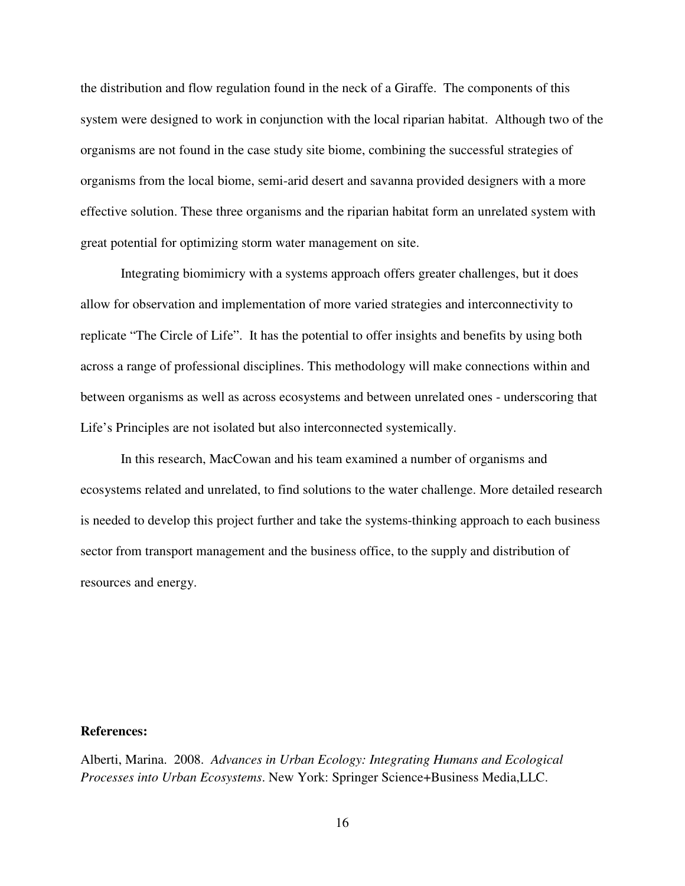the distribution and flow regulation found in the neck of a Giraffe. The components of this system were designed to work in conjunction with the local riparian habitat. Although two of the organisms are not found in the case study site biome, combining the successful strategies of organisms from the local biome, semi-arid desert and savanna provided designers with a more effective solution. These three organisms and the riparian habitat form an unrelated system with great potential for optimizing storm water management on site.

 Integrating biomimicry with a systems approach offers greater challenges, but it does allow for observation and implementation of more varied strategies and interconnectivity to replicate "The Circle of Life". It has the potential to offer insights and benefits by using both across a range of professional disciplines. This methodology will make connections within and between organisms as well as across ecosystems and between unrelated ones - underscoring that Life's Principles are not isolated but also interconnected systemically.

In this research, MacCowan and his team examined a number of organisms and ecosystems related and unrelated, to find solutions to the water challenge. More detailed research is needed to develop this project further and take the systems-thinking approach to each business sector from transport management and the business office, to the supply and distribution of resources and energy.

## **References:**

Alberti, Marina. 2008. *Advances in Urban Ecology: Integrating Humans and Ecological Processes into Urban Ecosystems*. New York: Springer Science+Business Media,LLC.